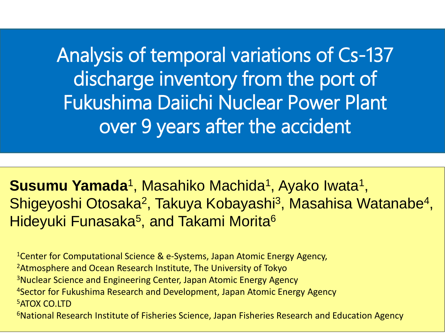Analysis of temporal variations of Cs-137 discharge inventory from the port of Fukushima Daiichi Nuclear Power Plant over 9 years after the accident

**Susumu Yamada**<sup>1</sup>, Masahiko Machida<sup>1</sup>, Ayako Iwata<sup>1</sup>, Shigeyoshi Otosaka<sup>2</sup>, Takuya Kobayashi<sup>3</sup>, Masahisa Watanabe<sup>4</sup>, Hideyuki Funasaka<sup>5</sup>, and Takami Morita<sup>6</sup>

<sup>1</sup>Center for Computational Science & e-Systems, Japan Atomic Energy Agency, <sup>2</sup> Atmosphere and Ocean Research Institute, The University of Tokyo <sup>3</sup>Nuclear Science and Engineering Center, Japan Atomic Energy Agency <sup>4</sup>Sector for Fukushima Research and Development, Japan Atomic Energy Agency <sup>5</sup>ATOX CO.LTD <sup>6</sup>National Research Institute of Fisheries Science, Japan Fisheries Research and Education Agency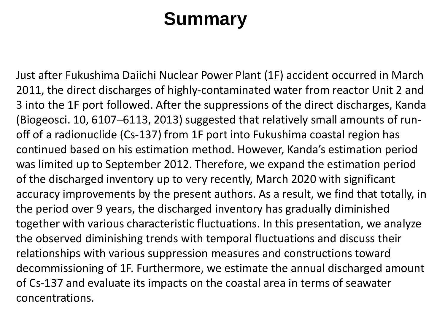# **Summary**

Just after Fukushima Daiichi Nuclear Power Plant (1F) accident occurred in March 2011, the direct discharges of highly-contaminated water from reactor Unit 2 and 3 into the 1F port followed. After the suppressions of the direct discharges, Kanda (Biogeosci. 10, 6107–6113, 2013) suggested that relatively small amounts of runoff of a radionuclide (Cs-137) from 1F port into Fukushima coastal region has continued based on his estimation method. However, Kanda's estimation period was limited up to September 2012. Therefore, we expand the estimation period of the discharged inventory up to very recently, March 2020 with significant accuracy improvements by the present authors. As a result, we find that totally, in the period over 9 years, the discharged inventory has gradually diminished together with various characteristic fluctuations. In this presentation, we analyze the observed diminishing trends with temporal fluctuations and discuss their relationships with various suppression measures and constructions toward decommissioning of 1F. Furthermore, we estimate the annual discharged amount of Cs-137 and evaluate its impacts on the coastal area in terms of seawater concentrations.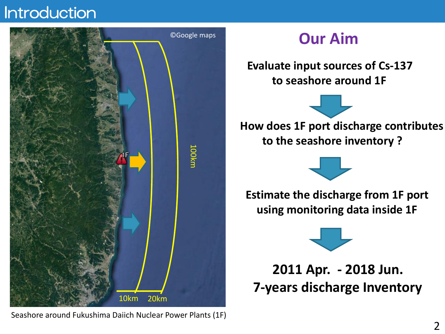# Introduction



Seashore around Fukushima Daiich Nuclear Power Plants (1F)

# **Our Aim**

**Evaluate input sources of Cs-137 to seashore around 1F** 

**How does 1F port discharge contributes to the seashore inventory ?**



**Estimate the discharge from 1F port using monitoring data inside 1F**



**2011 Apr. - 2018 Jun. 7-years discharge Inventory**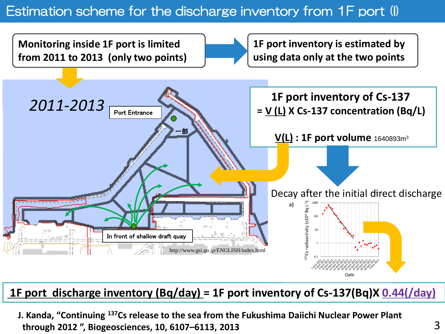## Estimation scheme for the discharge inventory from 1F port (I)



#### **1F port discharge inventory (Bq/day) = 1F port inventory of Cs-137(Bq)X 0.44(/day)**

**J. Kanda, "Continuing <sup>137</sup>Cs release to the sea from the Fukushima Daiichi Nuclear Power Plant through 2012 ", Biogeosciences, 10, 6107–6113, 2013**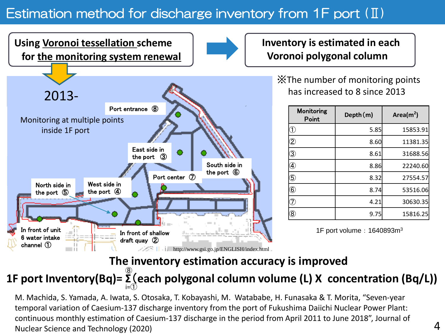# Estimation method for discharge inventory from 1F port (II)

In front of unit 6 water intake channel ① In front of shallow draft quay ② East side in the port ③ West side in the port ④ North side in the port ⑤ South side in the port ⑥ Port center ⑦ Port entrance (8) **Using Voronoi tessellation scheme for the monitoring system renewal** 2013- Monitoring at multiple points inside 1F port **http://www.gsi.go.jp/ENGLISH/index.html** 

**Inventory is estimated in each Voronoi polygonal column** 

> ※The number of monitoring points has increased to 8 since 2013

| <b>Monitoring</b><br>Point    | Depth(m) | Area( $m2$ ) |
|-------------------------------|----------|--------------|
| ⊕                             | 5.85     | 15853.91     |
| $\overline{\mathcal{Z}}$      | 8.60     | 11381.35     |
| $\overline{3}$                | 8.61     | 31688.56     |
| ❹                             | 8.86     | 22240.60     |
| 5                             | 8.32     | 27554.57     |
| $\textcircled{\scriptsize 6}$ | 8.74     | 53516.06     |
|                               | 4.21     | 30630.35     |
| $^\circledR$                  | 9.75     | 15816.25     |

1F port volume: 1640893m<sup>3</sup>

## **The inventory estimation accuracy is improved**

#### **1F port Inventory(Bq)= Σ**(**each polygonal column volume (L) X concentration (Bq/L))** i=① ⑧

M. Machida, S. Yamada, A. Iwata, S. Otosaka, T. Kobayashi, M. Watababe, H. Funasaka & T. Morita, "Seven-year temporal variation of Caesium-137 discharge inventory from the port of Fukushima Daiichi Nuclear Power Plant: continuous monthly estimation of Caesium-137 discharge in the period from April 2011 to June 2018", Journal of Nuclear Science and Technology (2020)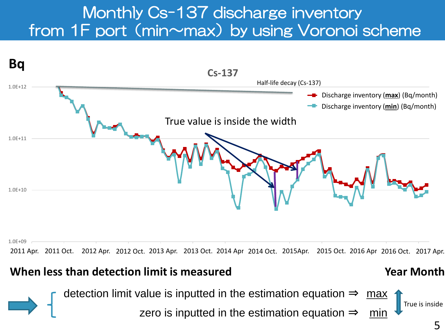# Monthly Cs-137 discharge inventory from 1F port (min~max) by using Voronoi scheme



2011 Apr. 2011 Oct. 2012 Apr. 2012 Oct. 2013 Apr. 2013 Oct. 2014 Apr 2014 Oct. 2015Apr. 2015 Oct. 2016 Apr 2016 Oct. 2017 Apr.

## **When less than detection limit is measured**

### **Year Month**

True is inside

detection limit value is inputted in the estimation equation  $\Rightarrow$  max

zero is inputted in the estimation equation  $\Rightarrow$  min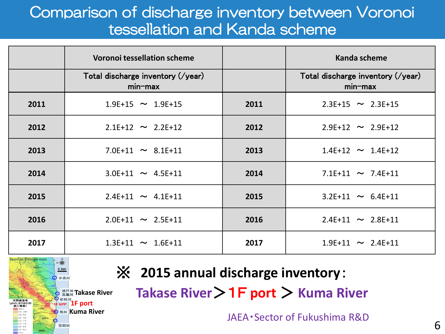# Comparison of discharge inventory between Voronoi tessellation and Kanda scheme

|      | <b>Voronoi tessellation scheme</b>           |      | Kanda scheme                                    |
|------|----------------------------------------------|------|-------------------------------------------------|
|      | Total discharge inventory (/year)<br>min-max |      | Total discharge inventory (/year)<br>$min$ -max |
| 2011 | $1.9E+15$ ~ $1.9E+15$                        | 2011 | $2.3E+15$ ~ 2.3E+15                             |
| 2012 | $2.1E+12 \sim 2.2E+12$                       | 2012 | $2.9E+12 \sim 2.9E+12$                          |
| 2013 | 7.0E+11 $\sim$ 8.1E+11                       | 2013 | $1.4E+12 \sim 1.4E+12$                          |
| 2014 | $3.0E+11$ ~ $4.5E+11$                        | 2014 | 7.1E+11 $\sim$ 7.4E+11                          |
| 2015 | $2.4E+11 \sim 4.1E+11$                       | 2015 | $3.2E+11 \sim 6.4E+11$                          |
| 2016 | $2.0E+11 \sim 2.5E+11$                       | 2016 | $2.4E+11 \sim 2.8E+11$                          |
| 2017 | $1.3E+11 \sim 1.6E+11$                       | 2017 | $1.9E+11 \sim 2.4E+11$                          |



# ※ **2015 annual discharge inventory**:

**Takase River**>1F **port** > **Kuma River**

JAEA・Sector of Fukushima R&D